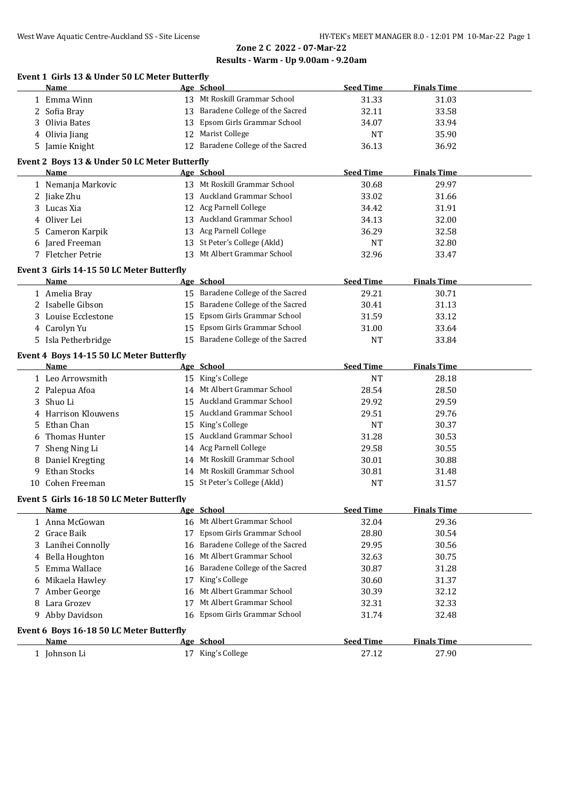# **Zone 2 C 2022 - 07-Mar-22**

#### **Results - Warm - Up 9.00am - 9.20am**

#### **Event 1 Girls 13 & Under 50 LC Meter Butterfly**

|                                           | Name                                             |    | Age School                                 | <b>Seed Time</b> | <b>Finals Time</b> |  |  |  |  |  |
|-------------------------------------------|--------------------------------------------------|----|--------------------------------------------|------------------|--------------------|--|--|--|--|--|
|                                           | 1 Emma Winn                                      |    | 13 Mt Roskill Grammar School               | 31.33            | 31.03              |  |  |  |  |  |
|                                           | 2 Sofia Bray                                     |    | 13 Baradene College of the Sacred          | 32.11            | 33.58              |  |  |  |  |  |
| 3                                         | Olivia Bates                                     | 13 | Epsom Girls Grammar School                 | 34.07            | 33.94              |  |  |  |  |  |
|                                           | 4 Olivia Jiang                                   |    | 12 Marist College                          | NT               | 35.90              |  |  |  |  |  |
|                                           | 5 Jamie Knight                                   |    | 12 Baradene College of the Sacred          | 36.13            | 36.92              |  |  |  |  |  |
|                                           |                                                  |    |                                            |                  |                    |  |  |  |  |  |
|                                           | Event 2 Boys 13 & Under 50 LC Meter Butterfly    |    |                                            |                  |                    |  |  |  |  |  |
|                                           | Name                                             |    | Age School<br>13 Mt Roskill Grammar School | <b>Seed Time</b> | <b>Finals Time</b> |  |  |  |  |  |
|                                           | 1 Nemanja Markovic                               |    |                                            | 30.68            | 29.97              |  |  |  |  |  |
|                                           | 2 Jiake Zhu                                      |    | 13 Auckland Grammar School                 | 33.02            | 31.66              |  |  |  |  |  |
| 3                                         | Lucas Xia                                        |    | 12 Acg Parnell College                     | 34.42            | 31.91              |  |  |  |  |  |
| 4                                         | Oliver Lei                                       |    | 13 Auckland Grammar School                 | 34.13            | 32.00              |  |  |  |  |  |
|                                           | 5 Cameron Karpik                                 |    | 13 Acg Parnell College                     | 36.29            | 32.58              |  |  |  |  |  |
|                                           | 6 Jared Freeman                                  |    | 13 St Peter's College (Akld)               | NT               | 32.80              |  |  |  |  |  |
|                                           | 7 Fletcher Petrie                                |    | 13 Mt Albert Grammar School                | 32.96            | 33.47              |  |  |  |  |  |
|                                           | Event 3 Girls 14-15 50 LC Meter Butterfly        |    |                                            |                  |                    |  |  |  |  |  |
|                                           | Name                                             |    | Age School                                 | <b>Seed Time</b> | <b>Finals Time</b> |  |  |  |  |  |
|                                           | 1 Amelia Bray                                    |    | 15 Baradene College of the Sacred          | 29.21            | 30.71              |  |  |  |  |  |
|                                           | 2 Isabelle Gibson                                | 15 | Baradene College of the Sacred             | 30.41            | 31.13              |  |  |  |  |  |
|                                           | 3 Louise Ecclestone                              | 15 | Epsom Girls Grammar School                 | 31.59            | 33.12              |  |  |  |  |  |
|                                           | 4 Carolyn Yu                                     | 15 | Epsom Girls Grammar School                 | 31.00            | 33.64              |  |  |  |  |  |
|                                           | 5 Isla Petherbridge                              |    | 15 Baradene College of the Sacred          | NT               | 33.84              |  |  |  |  |  |
|                                           |                                                  |    |                                            |                  |                    |  |  |  |  |  |
|                                           | Event 4 Boys 14-15 50 LC Meter Butterfly<br>Name |    | Age School                                 | <b>Seed Time</b> | <b>Finals Time</b> |  |  |  |  |  |
|                                           |                                                  |    | 15 King's College                          |                  |                    |  |  |  |  |  |
|                                           | 1 Leo Arrowsmith                                 |    | 14 Mt Albert Grammar School                | <b>NT</b>        | 28.18              |  |  |  |  |  |
|                                           | 2 Palepua Afoa<br>Shuo Li                        |    | 15 Auckland Grammar School                 | 28.54            | 28.50              |  |  |  |  |  |
| 3                                         | Harrison Klouwens                                |    | 15 Auckland Grammar School                 | 29.92            | 29.59              |  |  |  |  |  |
|                                           |                                                  |    |                                            | 29.51            | 29.76              |  |  |  |  |  |
| 5                                         | Ethan Chan                                       | 15 | King's College                             | <b>NT</b>        | 30.37              |  |  |  |  |  |
| 6                                         | Thomas Hunter                                    |    | 15 Auckland Grammar School                 | 31.28            | 30.53              |  |  |  |  |  |
|                                           | 7 Sheng Ning Li                                  |    | 14 Acg Parnell College                     | 29.58            | 30.55              |  |  |  |  |  |
|                                           | 8 Daniel Kregting                                |    | 14 Mt Roskill Grammar School               | 30.01            | 30.88              |  |  |  |  |  |
| 9                                         | Ethan Stocks                                     |    | 14 Mt Roskill Grammar School               | 30.81            | 31.48              |  |  |  |  |  |
|                                           | 10 Cohen Freeman                                 |    | 15 St Peter's College (Akld)               | <b>NT</b>        | 31.57              |  |  |  |  |  |
| Event 5 Girls 16-18 50 LC Meter Butterfly |                                                  |    |                                            |                  |                    |  |  |  |  |  |
|                                           | <u>Name</u>                                      |    | Age School                                 | <b>Seed Time</b> | <b>Finals Time</b> |  |  |  |  |  |
|                                           | 1 Anna McGowan                                   |    | 16 Mt Albert Grammar School                | 32.04            | 29.36              |  |  |  |  |  |
|                                           | 2 Grace Baik                                     | 17 | Epsom Girls Grammar School                 | 28.80            | 30.54              |  |  |  |  |  |
|                                           | 3 Lanihei Connolly                               | 16 | Baradene College of the Sacred             | 29.95            | 30.56              |  |  |  |  |  |
|                                           | 4 Bella Houghton                                 | 16 | Mt Albert Grammar School                   | 32.63            | 30.75              |  |  |  |  |  |
|                                           | 5 Emma Wallace                                   | 16 | Baradene College of the Sacred             | 30.87            | 31.28              |  |  |  |  |  |
|                                           | 6 Mikaela Hawley                                 | 17 | King's College                             | 30.60            | 31.37              |  |  |  |  |  |
|                                           | 7 Amber George                                   | 16 | Mt Albert Grammar School                   | 30.39            | 32.12              |  |  |  |  |  |
|                                           | 8 Lara Grozev                                    | 17 | Mt Albert Grammar School                   | 32.31            | 32.33              |  |  |  |  |  |
|                                           | 9 Abby Davidson                                  |    | 16 Epsom Girls Grammar School              | 31.74            | 32.48              |  |  |  |  |  |
|                                           |                                                  |    |                                            |                  |                    |  |  |  |  |  |
|                                           | Event 6 Boys 16-18 50 LC Meter Butterfly         |    |                                            |                  |                    |  |  |  |  |  |
|                                           | <b>Name</b>                                      |    | Age School                                 | <b>Seed Time</b> | <b>Finals Time</b> |  |  |  |  |  |
|                                           | 1 Johnson Li                                     |    | 17 King's College                          | 27.12            | 27.90              |  |  |  |  |  |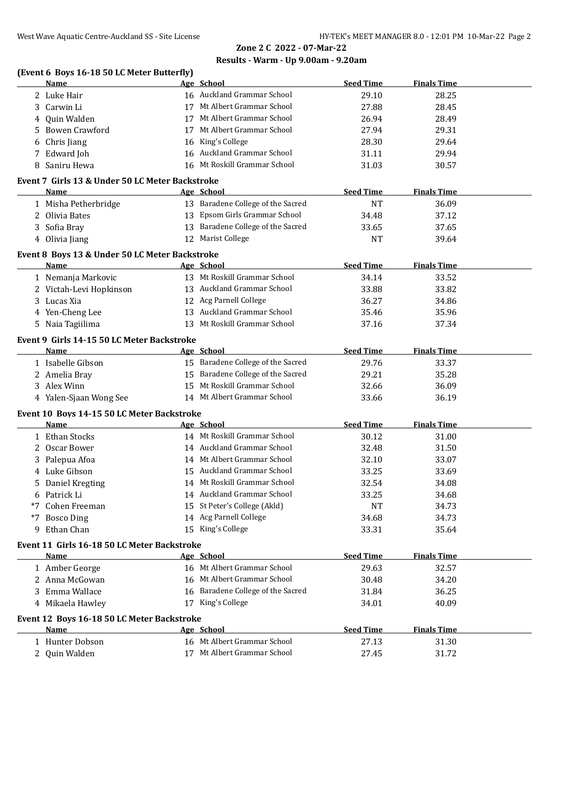# **Zone 2 C 2022 - 07-Mar-22**

## **Results - Warm - Up 9.00am - 9.20am**

|   | <b>Name</b>                                     |    | Age School                        | <b>Seed Time</b> | <b>Finals Time</b> |
|---|-------------------------------------------------|----|-----------------------------------|------------------|--------------------|
|   | 2 Luke Hair                                     |    | 16 Auckland Grammar School        | 29.10            | 28.25              |
| 3 | Carwin Li                                       |    | 17 Mt Albert Grammar School       | 27.88            | 28.45              |
| 4 | Quin Walden                                     |    | 17 Mt Albert Grammar School       | 26.94            | 28.49              |
| 5 | Bowen Crawford                                  | 17 | Mt Albert Grammar School          | 27.94            | 29.31              |
| 6 | Chris Jiang                                     |    | 16 King's College                 | 28.30            | 29.64              |
| 7 | Edward Joh                                      | 16 | Auckland Grammar School           | 31.11            | 29.94              |
| 8 | Saniru Hewa                                     |    | 16 Mt Roskill Grammar School      | 31.03            | 30.57              |
|   | Event 7 Girls 13 & Under 50 LC Meter Backstroke |    |                                   |                  |                    |
|   | Name                                            |    | Age School                        | <b>Seed Time</b> | <b>Finals Time</b> |
|   |                                                 |    | 13 Baradene College of the Sacred | <b>NT</b>        | 36.09              |
|   | 1 Misha Petherbridge<br>Olivia Bates            |    | 13 Epsom Girls Grammar School     |                  |                    |
| 2 |                                                 |    |                                   | 34.48            | 37.12              |
| 3 | Sofia Bray                                      |    | 13 Baradene College of the Sacred | 33.65            | 37.65              |
|   | 4 Olivia Jiang                                  | 12 | <b>Marist College</b>             | <b>NT</b>        | 39.64              |
|   | Event 8 Boys 13 & Under 50 LC Meter Backstroke  |    |                                   |                  |                    |
|   | <b>Name</b>                                     |    | Age School                        | <b>Seed Time</b> | <b>Finals Time</b> |
|   | 1 Nemanja Markovic                              |    | 13 Mt Roskill Grammar School      | 34.14            | 33.52              |
|   | 2 Victah-Levi Hopkinson                         |    | 13 Auckland Grammar School        | 33.88            | 33.82              |
| 3 | Lucas Xia                                       |    | 12 Acg Parnell College            | 36.27            | 34.86              |
| 4 | Yen-Cheng Lee                                   |    | 13 Auckland Grammar School        | 35.46            | 35.96              |
|   | 5 Naia Tagiilima                                |    | 13 Mt Roskill Grammar School      | 37.16            | 37.34              |
|   | Event 9 Girls 14-15 50 LC Meter Backstroke      |    |                                   |                  |                    |
|   | Name                                            |    | Age School                        | <b>Seed Time</b> | <b>Finals Time</b> |
|   | 1 Isabelle Gibson                               |    | 15 Baradene College of the Sacred | 29.76            | 33.37              |
|   | 2 Amelia Bray                                   |    | 15 Baradene College of the Sacred | 29.21            | 35.28              |
|   | 3 Alex Winn                                     |    | 15 Mt Roskill Grammar School      | 32.66            | 36.09              |
|   | 4 Yalen-Sjaan Wong See                          |    | 14 Mt Albert Grammar School       | 33.66            | 36.19              |
|   |                                                 |    |                                   |                  |                    |
|   | Event 10 Boys 14-15 50 LC Meter Backstroke      |    |                                   |                  |                    |
|   | Name                                            |    | Age School                        | <b>Seed Time</b> | <b>Finals Time</b> |
|   | 1 Ethan Stocks                                  |    | 14 Mt Roskill Grammar School      | 30.12            | 31.00              |
| 2 | Oscar Bower                                     |    | 14 Auckland Grammar School        | 32.48            | 31.50              |
|   | 3 Palepua Afoa                                  |    | 14 Mt Albert Grammar School       | 32.10            | 33.07              |
|   | 4 Luke Gibson                                   |    | 15 Auckland Grammar School        | 33.25            | 33.69              |
| 5 | Daniel Kregting                                 |    | 14 Mt Roskill Grammar School      | 32.54            | 34.08              |
| 6 | Patrick Li                                      |    | 14 Auckland Grammar School        | 33.25            | 34.68              |
|   | *7 Cohen Freeman                                |    | 15 St Peter's College (Akld)      | <b>NT</b>        | 34.73              |
|   | *7 Bosco Ding                                   |    | 14 Acg Parnell College            | 34.68            | 34.73              |
|   | 9 Ethan Chan                                    |    | 15 King's College                 | 33.31            | 35.64              |
|   | Event 11 Girls 16-18 50 LC Meter Backstroke     |    |                                   |                  |                    |
|   | Name                                            |    | Age School                        | <b>Seed Time</b> | <b>Finals Time</b> |
|   | 1 Amber George                                  |    | 16 Mt Albert Grammar School       | 29.63            | 32.57              |
|   | 2 Anna McGowan                                  |    | 16 Mt Albert Grammar School       | 30.48            | 34.20              |
|   | 3 Emma Wallace                                  |    | 16 Baradene College of the Sacred | 31.84            | 36.25              |
|   | 4 Mikaela Hawley                                |    | 17 King's College                 | 34.01            | 40.09              |
|   | Event 12 Boys 16-18 50 LC Meter Backstroke      |    |                                   |                  |                    |
|   | Name                                            |    | Age School                        | <b>Seed Time</b> | <b>Finals Time</b> |
|   | 1 Hunter Dobson                                 |    | 16 Mt Albert Grammar School       | 27.13            | 31.30              |
|   |                                                 |    | 17 Mt Albert Grammar School       |                  |                    |
|   | 2 Quin Walden                                   |    |                                   | 27.45            | 31.72              |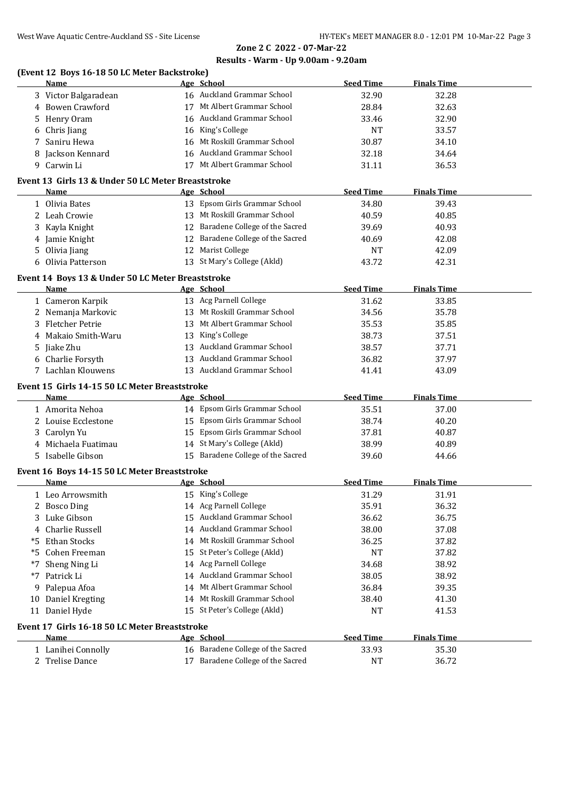# **Zone 2 C 2022 - 07-Mar-22 Results - Warm - Up 9.00am - 9.20am**

#### **(Event 12 Boys 16-18 50 LC Meter Backstroke)**

|    | Name                                                       | Age School                        | <b>Seed Time</b> | <b>Finals Time</b> |  |
|----|------------------------------------------------------------|-----------------------------------|------------------|--------------------|--|
|    | 3 Victor Balgaradean                                       | 16 Auckland Grammar School        | 32.90            | 32.28              |  |
|    | 4 Bowen Crawford                                           | 17 Mt Albert Grammar School       | 28.84            | 32.63              |  |
| 5  | Henry Oram                                                 | 16 Auckland Grammar School        | 33.46            | 32.90              |  |
| 6  | Chris Jiang                                                | 16 King's College                 | <b>NT</b>        | 33.57              |  |
| 7  | Saniru Hewa                                                | 16 Mt Roskill Grammar School      | 30.87            | 34.10              |  |
| 8  | Jackson Kennard                                            | 16 Auckland Grammar School        | 32.18            | 34.64              |  |
|    | 9 Carwin Li                                                | 17 Mt Albert Grammar School       | 31.11            | 36.53              |  |
|    |                                                            |                                   |                  |                    |  |
|    | Event 13 Girls 13 & Under 50 LC Meter Breaststroke<br>Name | Age School                        | <b>Seed Time</b> | <b>Finals Time</b> |  |
|    | 1 Olivia Bates                                             | 13 Epsom Girls Grammar School     | 34.80            | 39.43              |  |
|    | 2 Leah Crowie                                              | 13 Mt Roskill Grammar School      | 40.59            | 40.85              |  |
|    |                                                            | 12 Baradene College of the Sacred |                  |                    |  |
| 3  | Kayla Knight                                               |                                   | 39.69            | 40.93              |  |
| 4  | Jamie Knight                                               | 12 Baradene College of the Sacred | 40.69            | 42.08              |  |
| 5  | Olivia Jiang                                               | 12 Marist College                 | NT               | 42.09              |  |
| 6  | Olivia Patterson                                           | 13 St Mary's College (Akld)       | 43.72            | 42.31              |  |
|    | Event 14 Boys 13 & Under 50 LC Meter Breaststroke          |                                   |                  |                    |  |
|    | Name                                                       | Age School                        | <b>Seed Time</b> | <b>Finals Time</b> |  |
|    | 1 Cameron Karpik                                           | 13 Acg Parnell College            | 31.62            | 33.85              |  |
|    | 2 Nemanja Markovic                                         | 13 Mt Roskill Grammar School      | 34.56            | 35.78              |  |
| 3  | <b>Fletcher Petrie</b>                                     | 13 Mt Albert Grammar School       | 35.53            | 35.85              |  |
| 4  | Makaio Smith-Waru                                          | 13 King's College                 | 38.73            | 37.51              |  |
| 5  | Jiake Zhu                                                  | 13 Auckland Grammar School        | 38.57            | 37.71              |  |
|    | 6 Charlie Forsyth                                          | 13 Auckland Grammar School        | 36.82            | 37.97              |  |
|    | 7 Lachlan Klouwens                                         | 13 Auckland Grammar School        | 41.41            | 43.09              |  |
|    | Event 15 Girls 14-15 50 LC Meter Breaststroke              |                                   |                  |                    |  |
|    | Name                                                       | Age School                        | <b>Seed Time</b> | <b>Finals Time</b> |  |
|    | 1 Amorita Nehoa                                            | 14 Epsom Girls Grammar School     | 35.51            | 37.00              |  |
|    | 2 Louise Ecclestone                                        | 15 Epsom Girls Grammar School     | 38.74            | 40.20              |  |
|    | 3 Carolyn Yu                                               | 15 Epsom Girls Grammar School     | 37.81            | 40.87              |  |
|    | 4 Michaela Fuatimau                                        | 14 St Mary's College (Akld)       | 38.99            | 40.89              |  |
|    | 5 Isabelle Gibson                                          | 15 Baradene College of the Sacred | 39.60            | 44.66              |  |
|    | Event 16 Boys 14-15 50 LC Meter Breaststroke               |                                   |                  |                    |  |
|    | Name                                                       | Age School                        | <b>Seed Time</b> | <b>Finals Time</b> |  |
|    | 1 Leo Arrowsmith                                           | 15 King's College                 | 31.29            | 31.91              |  |
|    | 2 Bosco Ding                                               | 14 Acg Parnell College            | 35.91            | 36.32              |  |
| 3  | Luke Gibson                                                | 15 Auckland Grammar School        | 36.62            | 36.75              |  |
| 4  | Charlie Russell                                            | 14 Auckland Grammar School        | 38.00            | 37.08              |  |
| *5 | <b>Ethan Stocks</b>                                        | 14 Mt Roskill Grammar School      | 36.25            | 37.82              |  |
| *5 | Cohen Freeman                                              | 15 St Peter's College (Akld)      | NT               | 37.82              |  |
| *7 | Sheng Ning Li                                              | 14 Acg Parnell College            | 34.68            | 38.92              |  |
|    | Patrick Li                                                 | 14 Auckland Grammar School        | 38.05            | 38.92              |  |
| *7 |                                                            | 14 Mt Albert Grammar School       |                  |                    |  |
| 9  | Palepua Afoa                                               |                                   | 36.84            | 39.35              |  |
| 10 | Daniel Kregting                                            | 14 Mt Roskill Grammar School      | 38.40            | 41.30              |  |
|    | 11 Daniel Hyde                                             | 15 St Peter's College (Akld)      | NT               | 41.53              |  |
|    | Event 17 Girls 16-18 50 LC Meter Breaststroke              |                                   |                  |                    |  |
|    | Name                                                       | Age School                        | <b>Seed Time</b> | <b>Finals Time</b> |  |
|    | 1 Lanihei Connolly                                         | 16 Baradene College of the Sacred | 33.93            | 35.30              |  |
|    | 2 Trelise Dance                                            | 17 Baradene College of the Sacred | NT               | 36.72              |  |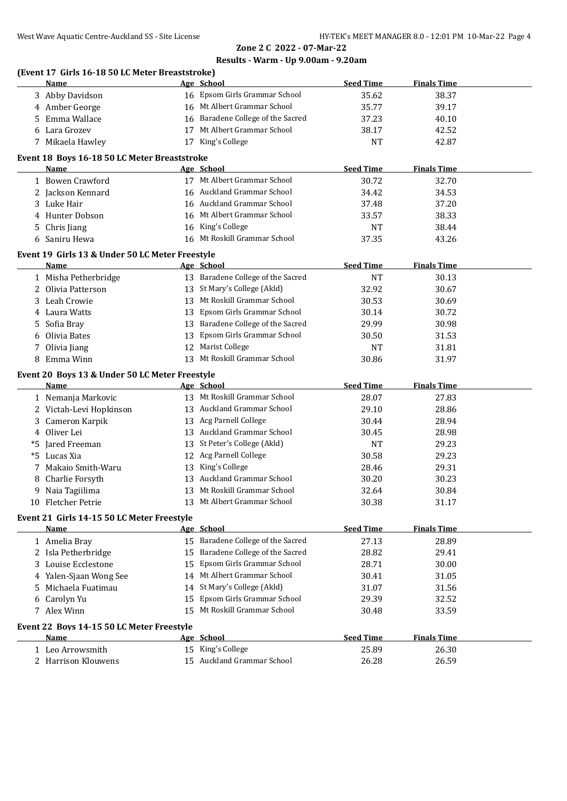# **Zone 2 C 2022 - 07-Mar-22 Results - Warm - Up 9.00am - 9.20am**

## **(Event 17 Girls 16-18 50 LC Meter Breaststroke)**

|    | <b>Name</b>                                        |    | Age School                        | <b>Seed Time</b> | <b>Finals Time</b> |  |
|----|----------------------------------------------------|----|-----------------------------------|------------------|--------------------|--|
|    | 3 Abby Davidson                                    |    | 16 Epsom Girls Grammar School     | 35.62            | 38.37              |  |
|    | 4 Amber George                                     |    | 16 Mt Albert Grammar School       | 35.77            | 39.17              |  |
| 5. | Emma Wallace                                       |    | 16 Baradene College of the Sacred | 37.23            | 40.10              |  |
|    | Lara Grozev                                        | 17 | Mt Albert Grammar School          | 38.17            | 42.52              |  |
|    | 7 Mikaela Hawley                                   |    | 17 King's College                 | <b>NT</b>        | 42.87              |  |
|    | Event 18 Boys 16-18 50 LC Meter Breaststroke       |    |                                   |                  |                    |  |
|    | Name                                               |    | Age School                        | <b>Seed Time</b> | <b>Finals Time</b> |  |
|    | 1 Bowen Crawford                                   |    | 17 Mt Albert Grammar School       | 30.72            | 32.70              |  |
|    | 2 Jackson Kennard                                  |    | 16 Auckland Grammar School        | 34.42            | 34.53              |  |
|    | 3 Luke Hair                                        |    | 16 Auckland Grammar School        | 37.48            | 37.20              |  |
| 4  | Hunter Dobson                                      |    | 16 Mt Albert Grammar School       | 33.57            | 38.33              |  |
|    |                                                    |    | 16 King's College                 |                  |                    |  |
| 5. | Chris Jiang                                        |    | Mt Roskill Grammar School         | NT               | 38.44              |  |
| 6  | Saniru Hewa                                        | 16 |                                   | 37.35            | 43.26              |  |
|    | Event 19 Girls 13 & Under 50 LC Meter Freestyle    |    |                                   |                  |                    |  |
|    | Name                                               |    | Age School                        | <b>Seed Time</b> | <b>Finals Time</b> |  |
|    | 1 Misha Petherbridge                               |    | 13 Baradene College of the Sacred | <b>NT</b>        | 30.13              |  |
|    | 2 Olivia Patterson                                 |    | 13 St Mary's College (Akld)       | 32.92            | 30.67              |  |
| 3. | Leah Crowie                                        |    | 13 Mt Roskill Grammar School      | 30.53            | 30.69              |  |
| 4  | Laura Watts                                        |    | 13 Epsom Girls Grammar School     | 30.14            | 30.72              |  |
| 5  | Sofia Bray                                         |    | 13 Baradene College of the Sacred | 29.99            | 30.98              |  |
| 6  | Olivia Bates                                       | 13 | Epsom Girls Grammar School        | 30.50            | 31.53              |  |
| 7  | Olivia Jiang                                       | 12 | Marist College                    | <b>NT</b>        | 31.81              |  |
| 8  | Emma Winn                                          |    | 13 Mt Roskill Grammar School      | 30.86            | 31.97              |  |
|    | Event 20 Boys 13 & Under 50 LC Meter Freestyle     |    |                                   |                  |                    |  |
|    | Name                                               |    | Age School                        | <b>Seed Time</b> | <b>Finals Time</b> |  |
|    | 1 Nemanja Markovic                                 |    | 13 Mt Roskill Grammar School      | 28.07            | 27.83              |  |
|    | 2 Victah-Levi Hopkinson                            |    | 13 Auckland Grammar School        | 29.10            | 28.86              |  |
|    | Cameron Karpik                                     |    | 13 Acg Parnell College            | 30.44            | 28.94              |  |
| 4  | Oliver Lei                                         |    | 13 Auckland Grammar School        | 30.45            | 28.98              |  |
|    | *5 Jared Freeman                                   |    | 13 St Peter's College (Akld)      | <b>NT</b>        | 29.23              |  |
|    | *5 Lucas Xia                                       |    | 12 Acg Parnell College            | 30.58            | 29.23              |  |
| 7  | Makaio Smith-Waru                                  |    | 13 King's College                 | 28.46            | 29.31              |  |
| 8  | Charlie Forsyth                                    |    | 13 Auckland Grammar School        | 30.20            | 30.23              |  |
| 9. | Naia Tagiilima                                     | 13 | Mt Roskill Grammar School         | 32.64            | 30.84              |  |
| 10 | Fletcher Petrie                                    | 13 | Mt Albert Grammar School          | 30.38            | 31.17              |  |
|    |                                                    |    |                                   |                  |                    |  |
|    | Event 21 Girls 14-15 50 LC Meter Freestyle<br>Name |    | Age School                        | <b>Seed Time</b> | <b>Finals Time</b> |  |
|    |                                                    |    | 15 Baradene College of the Sacred |                  |                    |  |
|    | 1 Amelia Bray                                      |    |                                   | 27.13            | 28.89              |  |
|    | 2 Isla Petherbridge                                | 15 | Baradene College of the Sacred    | 28.82            | 29.41              |  |
| 3  | Louise Ecclestone                                  | 15 | Epsom Girls Grammar School        | 28.71            | 30.00              |  |
| 4  | Yalen-Sjaan Wong See                               | 14 | Mt Albert Grammar School          | 30.41            | 31.05              |  |
| 5. | Michaela Fuatimau                                  | 14 | St Mary's College (Akld)          | 31.07            | 31.56              |  |
| 6  | Carolyn Yu                                         | 15 | Epsom Girls Grammar School        | 29.39            | 32.52              |  |
|    | 7 Alex Winn                                        | 15 | Mt Roskill Grammar School         | 30.48            | 33.59              |  |
|    | Event 22 Boys 14-15 50 LC Meter Freestyle          |    |                                   |                  |                    |  |
|    | Name                                               |    | Age School                        | <b>Seed Time</b> | <b>Finals Time</b> |  |
|    | 1 Leo Arrowsmith                                   |    | 15 King's College                 | 25.89            | 26.30              |  |
|    | 2 Harrison Klouwens                                |    | 15 Auckland Grammar School        | 26.28            | 26.59              |  |